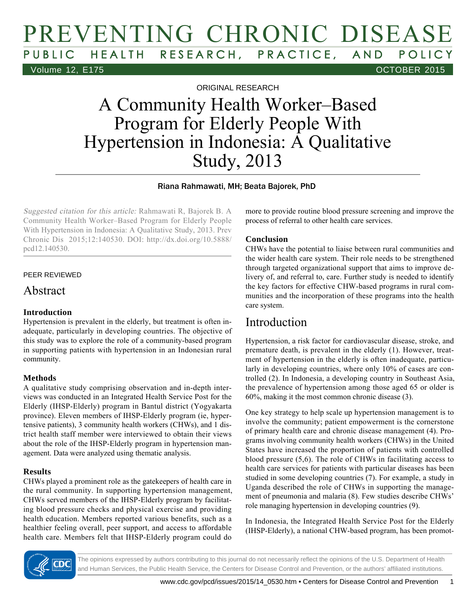# PREVENTING CHRONIC DISEASE HEALTH RESEARCH, PRACTICE, AND POLICY Volume 12, E175 OCTOBER 2015

ORIGINAL RESEARCH

# A Community Health Worker–Based Program for Elderly People With Hypertension in Indonesia: A Qualitative Study, 2013

Riana Rahmawati, MH; Beata Bajorek, PhD

Suggested citation for this article: Rahmawati R, Bajorek B. A Community Health Worker–Based Program for Elderly People With Hypertension in Indonesia: A Qualitative Study, 2013. Prev Chronic Dis 2015;12:140530. DOI: http://dx.doi.org/10.5888/ pcd12.140530.

#### PEER REVIEWED

### Abstract

#### **Introduction**

Hypertension is prevalent in the elderly, but treatment is often inadequate, particularly in developing countries. The objective of this study was to explore the role of a community-based program in supporting patients with hypertension in an Indonesian rural community.

#### **Methods**

A qualitative study comprising observation and in-depth interviews was conducted in an Integrated Health Service Post for the Elderly (IHSP-Elderly) program in Bantul district (Yogyakarta province). Eleven members of IHSP-Elderly program (ie, hypertensive patients), 3 community health workers (CHWs), and 1 district health staff member were interviewed to obtain their views about the role of the IHSP-Elderly program in hypertension management. Data were analyzed using thematic analysis.

#### **Results**

CHWs played a prominent role as the gatekeepers of health care in the rural community. In supporting hypertension management, CHWs served members of the IHSP-Elderly program by facilitating blood pressure checks and physical exercise and providing health education. Members reported various benefits, such as a healthier feeling overall, peer support, and access to affordable health care. Members felt that IHSP-Elderly program could do

more to provide routine blood pressure screening and improve the process of referral to other health care services.

#### **Conclusion**

CHWs have the potential to liaise between rural communities and the wider health care system. Their role needs to be strengthened through targeted organizational support that aims to improve delivery of, and referral to, care. Further study is needed to identify the key factors for effective CHW-based programs in rural communities and the incorporation of these programs into the health care system.

### Introduction

Hypertension, a risk factor for cardiovascular disease, stroke, and premature death, is prevalent in the elderly (1). However, treatment of hypertension in the elderly is often inadequate, particularly in developing countries, where only 10% of cases are controlled (2). In Indonesia, a developing country in Southeast Asia, the prevalence of hypertension among those aged 65 or older is 60%, making it the most common chronic disease (3).

One key strategy to help scale up hypertension management is to involve the community; patient empowerment is the cornerstone of primary health care and chronic disease management (4). Programs involving community health workers (CHWs) in the United States have increased the proportion of patients with controlled blood pressure (5,6). The role of CHWs in facilitating access to health care services for patients with particular diseases has been studied in some developing countries (7). For example, a study in Uganda described the role of CHWs in supporting the management of pneumonia and malaria (8). Few studies describe CHWs' role managing hypertension in developing countries (9).

In Indonesia, the Integrated Health Service Post for the Elderly (IHSP-Elderly), a national CHW-based program, has been promot-

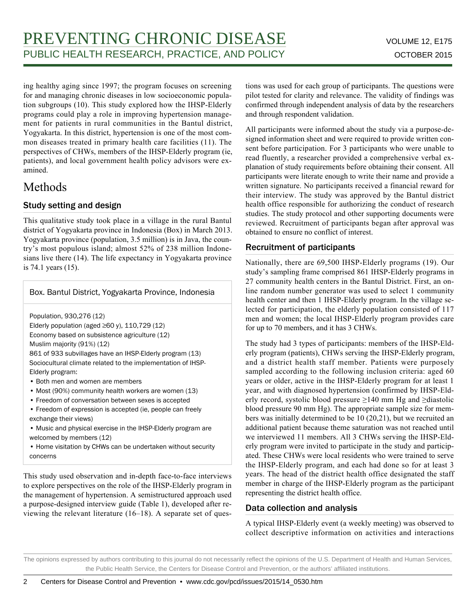ing healthy aging since 1997; the program focuses on screening for and managing chronic diseases in low socioeconomic population subgroups (10). This study explored how the IHSP-Elderly programs could play a role in improving hypertension management for patients in rural communities in the Bantul district, Yogyakarta. In this district, hypertension is one of the most common diseases treated in primary health care facilities (11). The perspectives of CHWs, members of the IHSP-Elderly program (ie, patients), and local government health policy advisors were examined.

### Methods

#### Study setting and design

This qualitative study took place in a village in the rural Bantul district of Yogyakarta province in Indonesia (Box) in March 2013. Yogyakarta province (population, 3.5 million) is in Java, the country's most populous island; almost 52% of 238 million Indonesians live there (14). The life expectancy in Yogyakarta province is 74.1 years (15).

#### Box. Bantul District, Yogyakarta Province, Indonesia

Population, 930,276 (12)

Elderly population (aged  $\geq 60$  y), 110,729 (12) Economy based on subsistence agriculture (12) Muslim majority (91%) (12)

861 of 933 subvillages have an IHSP-Elderly program (13) Sociocultural climate related to the implementation of IHSP-Elderly program:

- Both men and women are members
- Most (90%) community health workers are women (13)
- Freedom of conversation between sexes is accepted
- Freedom of expression is accepted (ie, people can freely exchange their views)
- Music and physical exercise in the IHSP-Elderly program are welcomed by members (12)
- Home visitation by CHWs can be undertaken without security concerns

This study used observation and in-depth face-to-face interviews to explore perspectives on the role of the IHSP-Elderly program in the management of hypertension. A semistructured approach used a purpose-designed interview guide (Table 1), developed after reviewing the relevant literature (16–18). A separate set of questions was used for each group of participants. The questions were pilot tested for clarity and relevance. The validity of findings was confirmed through independent analysis of data by the researchers and through respondent validation.

All participants were informed about the study via a purpose-designed information sheet and were required to provide written consent before participation. For 3 participants who were unable to read fluently, a researcher provided a comprehensive verbal explanation of study requirements before obtaining their consent. All participants were literate enough to write their name and provide a written signature. No participants received a financial reward for their interview. The study was approved by the Bantul district health office responsible for authorizing the conduct of research studies. The study protocol and other supporting documents were reviewed. Recruitment of participants began after approval was obtained to ensure no conflict of interest.

#### Recruitment of participants

Nationally, there are 69,500 IHSP-Elderly programs (19). Our study's sampling frame comprised 861 IHSP-Elderly programs in 27 community health centers in the Bantul District. First, an online random number generator was used to select 1 community health center and then 1 IHSP-Elderly program. In the village selected for participation, the elderly population consisted of 117 men and women; the local IHSP-Elderly program provides care for up to 70 members, and it has 3 CHWs.

The study had 3 types of participants: members of the IHSP-Elderly program (patients), CHWs serving the IHSP-Elderly program, and a district health staff member. Patients were purposely sampled according to the following inclusion criteria: aged 60 years or older, active in the IHSP-Elderly program for at least 1 year, and with diagnosed hypertension (confirmed by IHSP-Elderly record, systolic blood pressure ≥140 mm Hg and ≥diastolic blood pressure 90 mm Hg). The appropriate sample size for members was initially determined to be 10 (20,21), but we recruited an additional patient because theme saturation was not reached until we interviewed 11 members. All 3 CHWs serving the IHSP-Elderly program were invited to participate in the study and participated. These CHWs were local residents who were trained to serve the IHSP-Elderly program, and each had done so for at least 3 years. The head of the district health office designated the staff member in charge of the IHSP-Elderly program as the participant representing the district health office.

#### Data collection and analysis

A typical IHSP-Elderly event (a weekly meeting) was observed to collect descriptive information on activities and interactions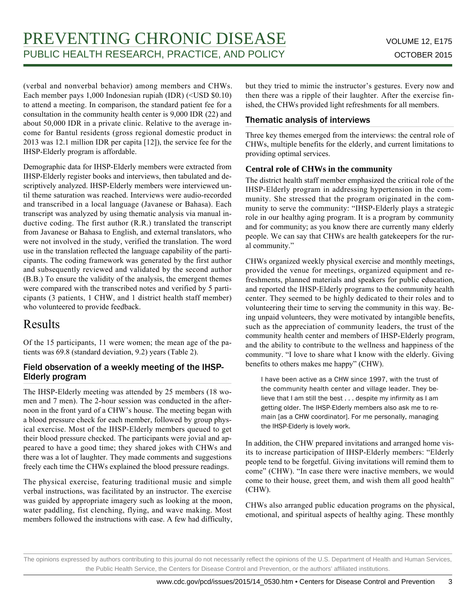(verbal and nonverbal behavior) among members and CHWs. Each member pays 1,000 Indonesian rupiah (IDR) (<USD \$0.10) to attend a meeting. In comparison, the standard patient fee for a consultation in the community health center is 9,000 IDR (22) and about 50,000 IDR in a private clinic. Relative to the average income for Bantul residents (gross regional domestic product in 2013 was 12.1 million IDR per capita [12]), the service fee for the IHSP-Elderly program is affordable.

Demographic data for IHSP-Elderly members were extracted from IHSP-Elderly register books and interviews, then tabulated and descriptively analyzed. IHSP-Elderly members were interviewed until theme saturation was reached. Interviews were audio-recorded and transcribed in a local language (Javanese or Bahasa). Each transcript was analyzed by using thematic analysis via manual inductive coding. The first author (R.R.) translated the transcript from Javanese or Bahasa to English, and external translators, who were not involved in the study, verified the translation. The word use in the translation reflected the language capability of the participants. The coding framework was generated by the first author and subsequently reviewed and validated by the second author (B.B.) To ensure the validity of the analysis, the emergent themes were compared with the transcribed notes and verified by 5 participants (3 patients, 1 CHW, and 1 district health staff member) who volunteered to provide feedback.

# Results

Of the 15 participants, 11 were women; the mean age of the patients was 69.8 (standard deviation, 9.2) years (Table 2).

#### Field observation of a weekly meeting of the IHSP-Elderly program

The IHSP-Elderly meeting was attended by 25 members (18 women and 7 men). The 2-hour session was conducted in the afternoon in the front yard of a CHW's house. The meeting began with a blood pressure check for each member, followed by group physical exercise. Most of the IHSP-Elderly members queued to get their blood pressure checked. The participants were jovial and appeared to have a good time; they shared jokes with CHWs and there was a lot of laughter. They made comments and suggestions freely each time the CHWs explained the blood pressure readings.

The physical exercise, featuring traditional music and simple verbal instructions, was facilitated by an instructor. The exercise was guided by appropriate imagery such as looking at the moon, water paddling, fist clenching, flying, and wave making. Most members followed the instructions with ease. A few had difficulty, but they tried to mimic the instructor's gestures. Every now and then there was a ripple of their laughter. After the exercise finished, the CHWs provided light refreshments for all members.

#### Thematic analysis of interviews

Three key themes emerged from the interviews: the central role of CHWs, multiple benefits for the elderly, and current limitations to providing optimal services.

#### **Central role of CHWs in the community**

The district health staff member emphasized the critical role of the IHSP-Elderly program in addressing hypertension in the community. She stressed that the program originated in the community to serve the community: "IHSP-Elderly plays a strategic role in our healthy aging program. It is a program by community and for community; as you know there are currently many elderly people. We can say that CHWs are health gatekeepers for the rural community."

CHWs organized weekly physical exercise and monthly meetings, provided the venue for meetings, organized equipment and refreshments, planned materials and speakers for public education, and reported the IHSP-Elderly programs to the community health center. They seemed to be highly dedicated to their roles and to volunteering their time to serving the community in this way. Being unpaid volunteers, they were motivated by intangible benefits, such as the appreciation of community leaders, the trust of the community health center and members of IHSP-Elderly program, and the ability to contribute to the wellness and happiness of the community. "I love to share what I know with the elderly. Giving benefits to others makes me happy" (CHW).

I have been active as a CHW since 1997, with the trust of the community health center and village leader. They believe that I am still the best . . . despite my infirmity as I am getting older. The IHSP-Elderly members also ask me to remain [as a CHW coordinator]. For me personally, managing the IHSP-Elderly is lovely work.

In addition, the CHW prepared invitations and arranged home visits to increase participation of IHSP-Elderly members: "Elderly people tend to be forgetful. Giving invitations will remind them to come" (CHW). "In case there were inactive members, we would come to their house, greet them, and wish them all good health" (CHW).

CHWs also arranged public education programs on the physical, emotional, and spiritual aspects of healthy aging. These monthly

The opinions expressed by authors contributing to this journal do not necessarily reflect the opinions of the U.S. Department of Health and Human Services, the Public Health Service, the Centers for Disease Control and Prevention, or the authors' affiliated institutions.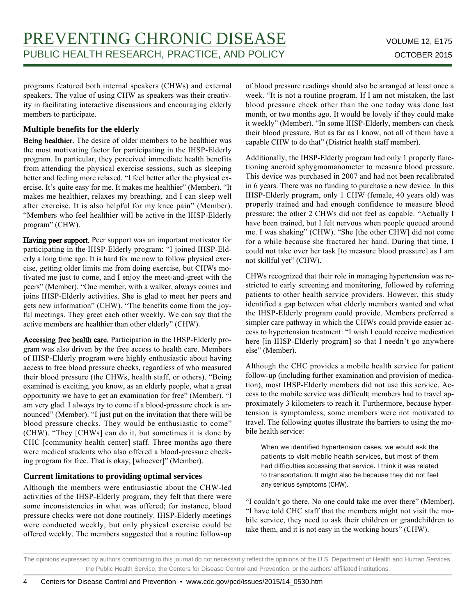programs featured both internal speakers (CHWs) and external speakers. The value of using CHW as speakers was their creativity in facilitating interactive discussions and encouraging elderly members to participate.

#### **Multiple benefits for the elderly**

Being healthier. The desire of older members to be healthier was the most motivating factor for participating in the IHSP-Elderly program. In particular, they perceived immediate health benefits from attending the physical exercise sessions, such as sleeping better and feeling more relaxed. "I feel better after the physical exercise. It's quite easy for me. It makes me healthier" (Member). "It makes me healthier, relaxes my breathing, and I can sleep well after exercise. It is also helpful for my knee pain" (Member). "Members who feel healthier will be active in the IHSP-Elderly program" (CHW).

Having peer support. Peer support was an important motivator for participating in the IHSP-Elderly program: "I joined IHSP-Elderly a long time ago. It is hard for me now to follow physical exercise, getting older limits me from doing exercise, but CHWs motivated me just to come, and I enjoy the meet-and-greet with the peers" (Member). "One member, with a walker, always comes and joins IHSP-Elderly activities. She is glad to meet her peers and gets new information" (CHW). "The benefits come from the joyful meetings. They greet each other weekly. We can say that the active members are healthier than other elderly" (CHW).

Accessing free health care. Participation in the IHSP-Elderly program was also driven by the free access to health care. Members of IHSP-Elderly program were highly enthusiastic about having access to free blood pressure checks, regardless of who measured their blood pressure (the CHWs, health staff, or others). "Being examined is exciting, you know, as an elderly people, what a great opportunity we have to get an examination for free" (Member). "I am very glad. I always try to come if a blood-pressure check is announced" (Member). "I just put on the invitation that there will be blood pressure checks. They would be enthusiastic to come" (CHW). "They [CHWs] can do it, but sometimes it is done by CHC [community health center] staff. Three months ago there were medical students who also offered a blood-pressure checking program for free. That is okay, [whoever]" (Member).

#### **Current limitations to providing optimal services**

Although the members were enthusiastic about the CHW-led activities of the IHSP-Elderly program, they felt that there were some inconsistencies in what was offered; for instance, blood pressure checks were not done routinely. IHSP-Elderly meetings were conducted weekly, but only physical exercise could be offered weekly. The members suggested that a routine follow-up

of blood pressure readings should also be arranged at least once a week. "It is not a routine program. If I am not mistaken, the last blood pressure check other than the one today was done last month, or two months ago. It would be lovely if they could make it weekly" (Member). "In some IHSP-Elderly, members can check their blood pressure. But as far as I know, not all of them have a capable CHW to do that" (District health staff member).

Additionally, the IHSP-Elderly program had only 1 properly functioning aneroid sphygmomanometer to measure blood pressure. This device was purchased in 2007 and had not been recalibrated in 6 years. There was no funding to purchase a new device. In this IHSP-Elderly program, only 1 CHW (female, 40 years old) was properly trained and had enough confidence to measure blood pressure; the other 2 CHWs did not feel as capable. "Actually I have been trained, but I felt nervous when people queued around me. I was shaking" (CHW). "She [the other CHW] did not come for a while because she fractured her hand. During that time, I could not take over her task [to measure blood pressure] as I am not skillful yet" (CHW).

CHWs recognized that their role in managing hypertension was restricted to early screening and monitoring, followed by referring patients to other health service providers. However, this study identified a gap between what elderly members wanted and what the IHSP-Elderly program could provide. Members preferred a simpler care pathway in which the CHWs could provide easier access to hypertension treatment: "I wish I could receive medication here [in IHSP-Elderly program] so that I needn't go anywhere else" (Member).

Although the CHC provides a mobile health service for patient follow-up (including further examination and provision of medication), most IHSP-Elderly members did not use this service. Access to the mobile service was difficult; members had to travel approximately 3 kilometers to reach it. Furthermore, because hypertension is symptomless, some members were not motivated to travel. The following quotes illustrate the barriers to using the mobile health service:

When we identified hypertension cases, we would ask the patients to visit mobile health services, but most of them had difficulties accessing that service. I think it was related to transportation. It might also be because they did not feel any serious symptoms (CHW).

"I couldn't go there. No one could take me over there" (Member). "I have told CHC staff that the members might not visit the mobile service, they need to ask their children or grandchildren to take them, and it is not easy in the working hours" (CHW).

The opinions expressed by authors contributing to this journal do not necessarily reflect the opinions of the U.S. Department of Health and Human Services, the Public Health Service, the Centers for Disease Control and Prevention, or the authors' affiliated institutions.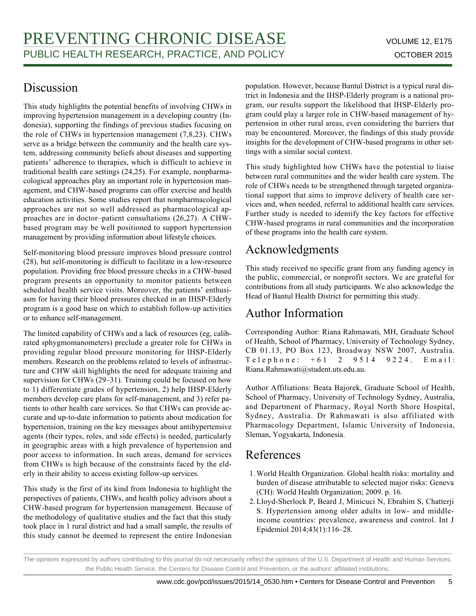### Discussion

This study highlights the potential benefits of involving CHWs in improving hypertension management in a developing country (Indonesia), supporting the findings of previous studies focusing on the role of CHWs in hypertension management (7,8,23). CHWs serve as a bridge between the community and the health care system, addressing community beliefs about diseases and supporting patients' adherence to therapies, which is difficult to achieve in traditional health care settings (24,25). For example, nonpharmacological approaches play an important role in hypertension management, and CHW-based programs can offer exercise and health education activities. Some studies report that nonpharmacological approaches are not so well addressed as pharmacological approaches are in doctor–patient consultations (26,27). A CHWbased program may be well positioned to support hypertension management by providing information about lifestyle choices.

Self-monitoring blood pressure improves blood pressure control (28), but self-monitoring is difficult to facilitate in a low-resource population. Providing free blood pressure checks in a CHW-based program presents an opportunity to monitor patients between scheduled health service visits. Moreover, the patients' enthusiasm for having their blood pressures checked in an IHSP-Elderly program is a good base on which to establish follow-up activities or to enhance self-management.

The limited capability of CHWs and a lack of resources (eg, calibrated sphygmomanometers) preclude a greater role for CHWs in providing regular blood pressure monitoring for IHSP-Elderly members. Research on the problems related to levels of infrastructure and CHW skill highlights the need for adequate training and supervision for CHWs (29–31). Training could be focused on how to 1) differentiate grades of hypertension, 2) help IHSP-Elderly members develop care plans for self-management, and 3) refer patients to other health care services. So that CHWs can provide accurate and up-to-date information to patients about medication for hypertension, training on the key messages about antihypertensive agents (their types, roles, and side effects) is needed, particularly in geographic areas with a high prevalence of hypertension and poor access to information. In such areas, demand for services from CHWs is high because of the constraints faced by the elderly in their ability to access existing follow-up services.

This study is the first of its kind from Indonesia to highlight the perspectives of patients, CHWs, and health policy advisors about a CHW-based program for hypertension management. Because of the methodology of qualitative studies and the fact that this study took place in 1 rural district and had a small sample, the results of this study cannot be deemed to represent the entire Indonesian

population. However, because Bantul District is a typical rural district in Indonesia and the IHSP-Elderly program is a national program, our results support the likelihood that IHSP-Elderly program could play a larger role in CHW-based management of hypertension in other rural areas, even considering the barriers that may be encountered. Moreover, the findings of this study provide insights for the development of CHW-based programs in other settings with a similar social context.

This study highlighted how CHWs have the potential to liaise between rural communities and the wider health care system. The role of CHWs needs to be strengthened through targeted organizational support that aims to improve delivery of health care services and, when needed, referral to additional health care services. Further study is needed to identify the key factors for effective CHW-based programs in rural communities and the incorporation of these programs into the health care system.

## Acknowledgments

This study received no specific grant from any funding agency in the public, commercial, or nonprofit sectors. We are grateful for contributions from all study participants. We also acknowledge the Head of Bantul Health District for permitting this study.

# Author Information

Corresponding Author: Riana Rahmawati, MH, Graduate School of Health, School of Pharmacy, University of Technology Sydney, CB 01.13, PO Box 123, Broadway NSW 2007, Australia. Telephone: +61 2 9514 9224. Email: Riana.Rahmawati@student.uts.edu.au.

Author Affiliations: Beata Bajorek, Graduate School of Health, School of Pharmacy, University of Technology Sydney, Australia, and Department of Pharmacy, Royal North Shore Hospital, Sydney, Australia. Dr Rahmawati is also affiliated with Pharmacology Department, Islamic University of Indonesia, Sleman, Yogyakarta, Indonesia.

# References

- World Health Organization. Global health risks: mortality and 1. burden of disease attributable to selected major risks: Geneva (CH): World Health Organization; 2009. p. 16.
- Lloyd-Sherlock P, Beard J, Minicuci N, Ebrahim S, Chatterji 2. S. Hypertension among older adults in low- and middleincome countries: prevalence, awareness and control. Int J Epidemiol 2014;43(1):116–28.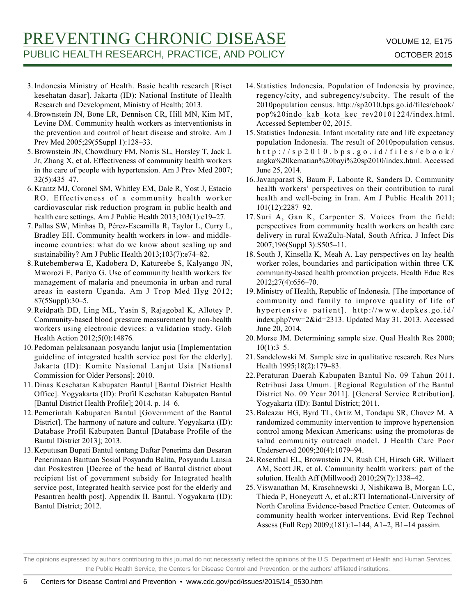# PREVENTING CHRONIC DISEASE VOLUME 12, E175 PUBLIC HEALTH RESEARCH, PRACTICE, AND POLICY **CONSTANT OCTOBER 2015**

- 3. Indonesia Ministry of Health. Basic health research [Riset] kesehatan dasar]. Jakarta (ID): National Institute of Health Research and Development, Ministry of Health; 2013.
- 4. Brownstein JN, Bone LR, Dennison CR, Hill MN, Kim MT, Levine DM. Community health workers as interventionists in the prevention and control of heart disease and stroke. Am J Prev Med 2005;29(5Suppl 1):128–33.
- 5. Brownstein JN, Chowdhury FM, Norris SL, Horsley T, Jack L Jr, Zhang X, et al. Effectiveness of community health workers in the care of people with hypertension. Am J Prev Med 2007; 32(5):435–47.
- 6. Krantz MJ, Coronel SM, Whitley EM, Dale R, Yost J, Estacio RO. Effectiveness of a community health worker cardiovascular risk reduction program in public health and health care settings. Am J Public Health 2013;103(1):e19–27.
- 7. Pallas SW, Minhas D, Pérez-Escamilla R, Taylor L, Curry L, Bradley EH. Community health workers in low- and middleincome countries: what do we know about scaling up and sustainability? Am J Public Health 2013;103(7):e74–82.
- 8. Rutebemberwa E, Kadobera D, Katureebe S, Kalyango JN, Mworozi E, Pariyo G. Use of community health workers for management of malaria and pneumonia in urban and rural areas in eastern Uganda. Am J Trop Med Hyg 2012; 87(5Suppl):30–5.
- 9. Reidpath DD, Ling ML, Yasin S, Rajagobal K, Allotey P. Community-based blood pressure measurement by non-health workers using electronic devices: a validation study. Glob Health Action 2012;5(0):14876.
- 10. Pedoman pelaksanaan posyandu lanjut usia [Implementation guideline of integrated health service post for the elderly]. Jakarta (ID): Komite Nasional Lanjut Usia [National Commission for Older Persons]; 2010.
- 11. Dinas Kesehatan Kabupaten Bantul [Bantul District Health Office]. Yogyakarta (ID): Profil Kesehatan Kabupaten Bantul [Bantul District Health Profile]; 2014. p. 14–6.
- 12. Pemerintah Kabupaten Bantul [Government of the Bantul District]. The harmony of nature and culture. Yogyakarta (ID): Database Profil Kabupaten Bantul [Database Profile of the Bantul District 2013]; 2013.
- 13. Keputusan Bupati Bantul tentang Daftar Penerima dan Besaran Penerimaan Bantuan Sosial Posyandu Balita, Posyandu Lansia dan Poskestren [Decree of the head of Bantul district about recipient list of government subsidy for Integrated health service post, Integrated health service post for the elderly and Pesantren health post]. Appendix II. Bantul. Yogyakarta (ID): Bantul District; 2012.
- 14. Statistics Indonesia. Population of Indonesia by province, regency/city, and subregency/subcity. The result of the 2010population census. http://sp2010.bps.go.id/files/ebook/ pop%20indo\_kab\_kota\_kec\_rev20101224/index.html. Accessed September 02, 2015.
- 15. Statistics Indonesia. Infant mortality rate and life expectancy population Indonesia. The result of 2010population census. http://sp2010.bps.go.id/files/ebook/ angka%20kematian%20bayi%20sp2010/index.html. Accessed June 25, 2014.
- 16. Javanparast S, Baum F, Labonte R, Sanders D. Community health workers' perspectives on their contribution to rural health and well-being in Iran. Am J Public Health 2011; 101(12):2287–92.
- 17. Suri A, Gan K, Carpenter S. Voices from the field: perspectives from community health workers on health care delivery in rural KwaZulu-Natal, South Africa. J Infect Dis 2007;196(Suppl 3):S505–11.
- 18. South J, Kinsella K, Meah A. Lay perspectives on lay health worker roles, boundaries and participation within three UK community-based health promotion projects. Health Educ Res 2012;27(4):656–70.
- 19. Ministry of Health, Republic of Indonesia. [The importance of community and family to improve quality of life of hypertensive patient]. http://www.depkes.go.id/ index.php?vw=2&id=2313. Updated May 31, 2013. Accessed June 20, 2014.
- 20. Morse JM. Determining sample size. Qual Health Res 2000;  $10(1):3-5.$
- 21. Sandelowski M. Sample size in qualitative research. Res Nurs Health 1995;18(2):179–83.
- 22. Peraturan Daerah Kabupaten Bantul No. 09 Tahun 2011. Retribusi Jasa Umum. [Regional Regulation of the Bantul District No. 09 Year 2011]. [General Service Retribution]. Yogyakarta (ID): Bantul District; 2011.
- 23. Balcazar HG, Byrd TL, Ortiz M, Tondapu SR, Chavez M. A randomized community intervention to improve hypertension control among Mexican Americans: using the promotoras de salud community outreach model. J Health Care Poor Underserved 2009;20(4):1079–94.
- Rosenthal EL, Brownstein JN, Rush CH, Hirsch GR, Willaert 24. AM, Scott JR, et al. Community health workers: part of the solution. Health Aff (Millwood) 2010;29(7):1338–42.
- 25. Viswanathan M, Kraschnewski J, Nishikawa B, Morgan LC, Thieda P, Honeycutt A, et al.;RTI International-University of North Carolina Evidence-based Practice Center. Outcomes of community health worker interventions. Evid Rep Technol Assess (Full Rep) 2009;(181):1–144, A1–2, B1–14 passim.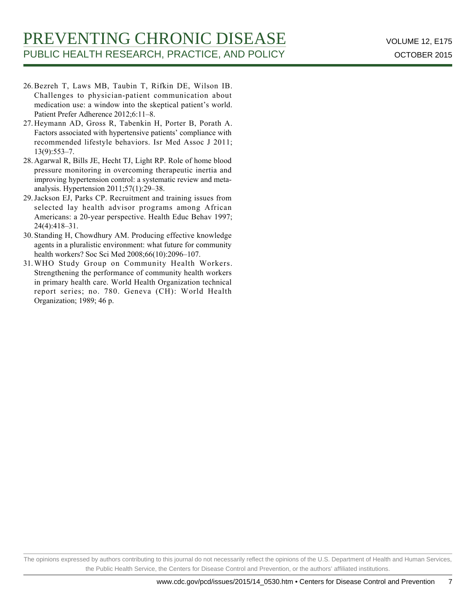- 26. Bezreh T, Laws MB, Taubin T, Rifkin DE, Wilson IB. Challenges to physician-patient communication about medication use: a window into the skeptical patient's world. Patient Prefer Adherence 2012;6:11–8.
- 27. Heymann AD, Gross R, Tabenkin H, Porter B, Porath A. Factors associated with hypertensive patients' compliance with recommended lifestyle behaviors. Isr Med Assoc J 2011; 13(9):553–7.
- 28. Agarwal R, Bills JE, Hecht TJ, Light RP. Role of home blood pressure monitoring in overcoming therapeutic inertia and improving hypertension control: a systematic review and metaanalysis. Hypertension 2011;57(1):29–38.
- 29. Jackson EJ, Parks CP. Recruitment and training issues from selected lay health advisor programs among African Americans: a 20-year perspective. Health Educ Behav 1997; 24(4):418–31.
- Standing H, Chowdhury AM. Producing effective knowledge 30. agents in a pluralistic environment: what future for community health workers? Soc Sci Med 2008;66(10):2096–107.
- WHO Study Group on Community Health Workers. 31. Strengthening the performance of community health workers in primary health care. World Health Organization technical report series; no. 780. Geneva (CH): World Health Organization; 1989; 46 p.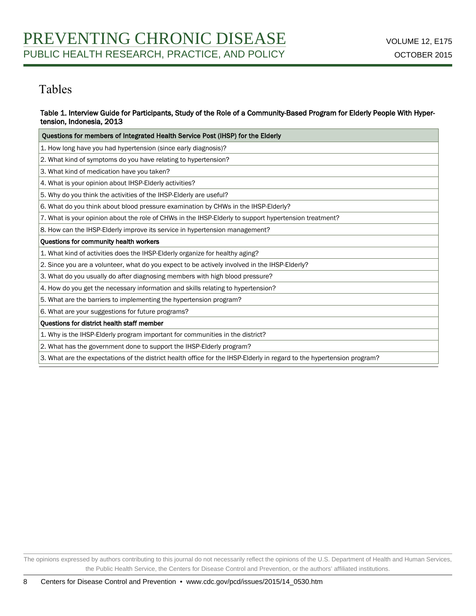### Tables

#### Table 1. Interview Guide for Participants, Study of the Role of a Community-Based Program for Elderly People With Hypertension, Indonesia, 2013

| Questions for members of Integrated Health Service Post (IHSP) for the Elderly                                         |  |  |  |  |
|------------------------------------------------------------------------------------------------------------------------|--|--|--|--|
| 1. How long have you had hypertension (since early diagnosis)?                                                         |  |  |  |  |
| 2. What kind of symptoms do you have relating to hypertension?                                                         |  |  |  |  |
| 3. What kind of medication have you taken?                                                                             |  |  |  |  |
| 4. What is your opinion about IHSP-Elderly activities?                                                                 |  |  |  |  |
| 5. Why do you think the activities of the IHSP-Elderly are useful?                                                     |  |  |  |  |
| 6. What do you think about blood pressure examination by CHWs in the IHSP-Elderly?                                     |  |  |  |  |
| 7. What is your opinion about the role of CHWs in the IHSP-Elderly to support hypertension treatment?                  |  |  |  |  |
| 8. How can the IHSP-Elderly improve its service in hypertension management?                                            |  |  |  |  |
| Questions for community health workers                                                                                 |  |  |  |  |
| 1. What kind of activities does the IHSP-Elderly organize for healthy aging?                                           |  |  |  |  |
| 2. Since you are a volunteer, what do you expect to be actively involved in the IHSP-Elderly?                          |  |  |  |  |
| 3. What do you usually do after diagnosing members with high blood pressure?                                           |  |  |  |  |
| 4. How do you get the necessary information and skills relating to hypertension?                                       |  |  |  |  |
| 5. What are the barriers to implementing the hypertension program?                                                     |  |  |  |  |
| 6. What are your suggestions for future programs?                                                                      |  |  |  |  |
| <b>Ouestions for district health staff member</b>                                                                      |  |  |  |  |
| 1. Why is the IHSP-Elderly program important for communities in the district?                                          |  |  |  |  |
| 2. What has the government done to support the IHSP-Elderly program?                                                   |  |  |  |  |
| 3. What are the expectations of the district health office for the IHSP-Elderly in regard to the hypertension program? |  |  |  |  |